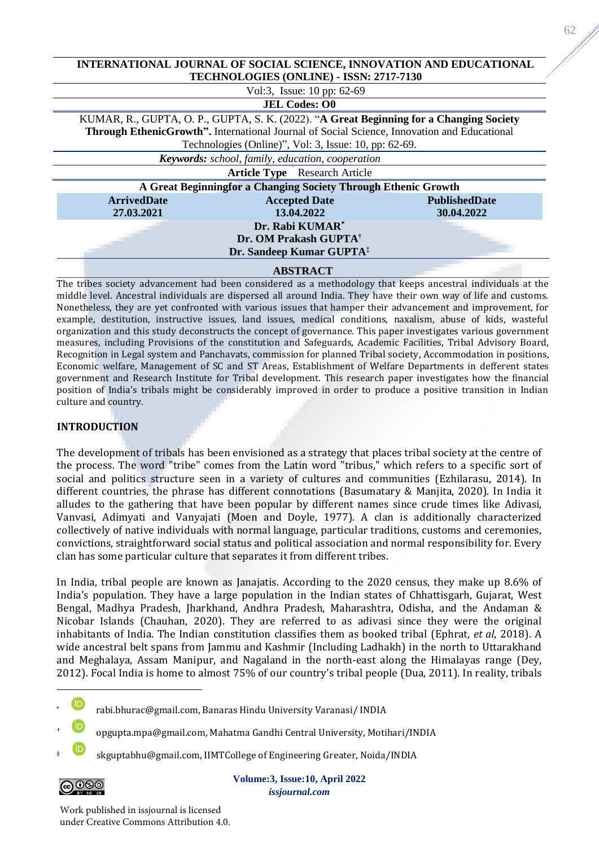|                                                                                         | INTERNATIONAL JOURNAL OF SOCIAL SCIENCE, INNOVATION AND EDUCATIONAL                                |                      |  |  |  |
|-----------------------------------------------------------------------------------------|----------------------------------------------------------------------------------------------------|----------------------|--|--|--|
|                                                                                         | TECHNOLOGIES (ONLINE) - ISSN: 2717-7130                                                            |                      |  |  |  |
|                                                                                         | Vol:3, Issue: 10 pp: 62-69                                                                         |                      |  |  |  |
|                                                                                         | <b>JEL Codes: O0</b>                                                                               |                      |  |  |  |
| KUMAR, R., GUPTA, O. P., GUPTA, S. K. (2022). "A Great Beginning for a Changing Society |                                                                                                    |                      |  |  |  |
|                                                                                         | <b>Through EthenicGrowth".</b> International Journal of Social Science, Innovation and Educational |                      |  |  |  |
|                                                                                         | Technologies (Online)", Vol: 3, Issue: 10, pp: 62-69.                                              |                      |  |  |  |
|                                                                                         | <b>Keywords:</b> school, family, education, cooperation                                            |                      |  |  |  |
|                                                                                         | <b>Article Type</b> Research Article                                                               |                      |  |  |  |
|                                                                                         | A Great Beginningfor a Changing Society Through Ethenic Growth                                     |                      |  |  |  |
| <b>ArrivedDate</b>                                                                      | <b>Accepted Date</b>                                                                               | <b>PublishedDate</b> |  |  |  |
| 27.03.2021                                                                              | 13.04.2022                                                                                         | 30.04.2022           |  |  |  |
|                                                                                         | Dr. Rabi KUMAR <sup>*</sup>                                                                        |                      |  |  |  |
|                                                                                         | Dr. OM Prakash GUPTA <sup>†</sup>                                                                  |                      |  |  |  |
|                                                                                         | Dr. Sandeep Kumar GUPTA <sup>‡</sup>                                                               |                      |  |  |  |
|                                                                                         | <b>ABSTRACT</b>                                                                                    |                      |  |  |  |

**INTERNATIONAL JOURNAL OF SOCIAL SCIENCE, INNOVATION AND EDUCATIONAL** 

The tribes society advancement had been considered as a methodology that keeps ancestral individuals at the middle level. Ancestral individuals are dispersed all around India. They have their own way of life and customs. Nonetheless, they are yet confronted with various issues that hamper their advancement and improvement, for example, destitution, instructive issues, land issues, medical conditions, naxalism, abuse of kids, wasteful organization and this study deconstructs the concept of governance. This paper investigates various government measures, including Provisions of the constitution and Safeguards, Academic Facilities, Tribal Advisory Board, Recognition in Legal system and Panchavats, commission for planned Tribal society, Accommodation in positions, Economic welfare, Management of SC and ST Areas, Establishment of Welfare Departments in defferent states government and Research Institute for Tribal development. This research paper investigates how the financial position of India's tribals might be considerably improved in order to produce a positive transition in Indian culture and country.

## **INTRODUCTION**

The development of tribals has been envisioned as a strategy that places tribal society at the centre of the process. The word "tribe" comes from the Latin word "tribus," which refers to a specific sort of social and politics structure seen in a variety of cultures and communities (Ezhilarasu, 2014). In different countries, the phrase has different connotations (Basumatary & Manjita, 2020). In India it alludes to the gathering that have been popular by different names since crude times like Adivasi, Vanvasi, Adimyati and Vanyajati (Moen and Doyle, 1977). A clan is additionally characterized collectively of native individuals with normal language, particular traditions, customs and ceremonies, convictions, straightforward social status and political association and normal responsibility for. Every clan has some particular culture that separates it from different tribes.

In India, tribal people are known as Janajatis. According to the 2020 census, they make up 8.6% of India's population. They have a large population in the Indian states of Chhattisgarh, Gujarat, West Bengal, Madhya Pradesh, Jharkhand, Andhra Pradesh, Maharashtra, Odisha, and the Andaman & Nicobar Islands (Chauhan, 2020). They are referred to as adivasi since they were the original inhabitants of India. The Indian constitution classifies them as booked tribal (Ephrat, *et al*, 2018). A wide ancestral belt spans from Jammu and Kashmir (Including Ladhakh) in the north to Uttarakhand and Meghalaya, Assam Manipur, and Nagaland in the north-east along the Himalayas range (Dey, 2012). Focal India is home to almost 75% of our country's tribal people (Dua, 2011). In reality, tribals

- † [o](https://orcid.org/0000-0001-9043-9313)pgupta.mpa@gmail.com, Mahatma Gandhi Central University, Motihari/INDIA
- skguptabhu@gmail.com, IIMTCollege of Engineering Greater, Noida/INDIA



**Volume:3, Issue:10, April 2022** *issjournal.com*

Work published in issjournal is licensed under Creative Commons Attribution 4.0.

[r](https://orcid.org/0000-0002-4692-2372)abi.bhurac@gmail.com, Banaras Hindu University Varanasi/ INDIA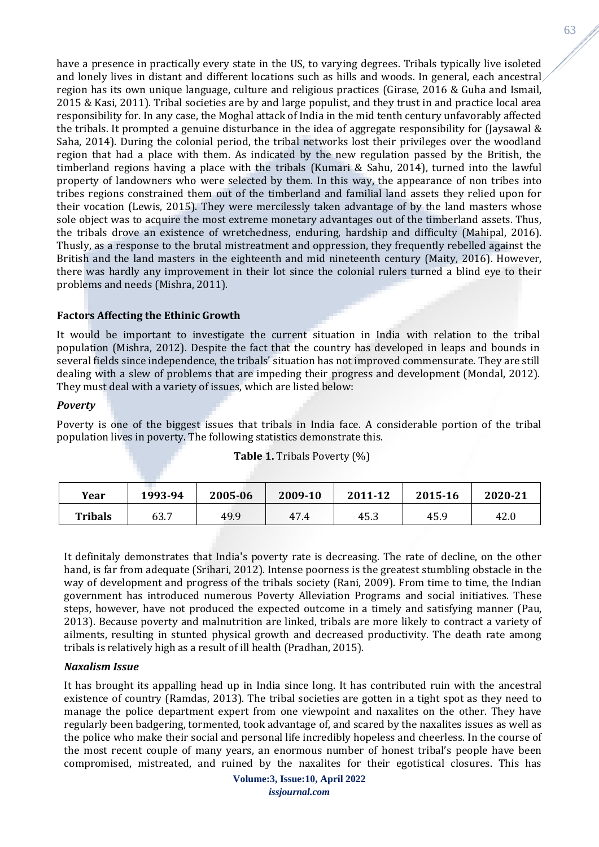have a presence in practically every state in the US, to varying degrees. Tribals typically live isoleted and lonely lives in distant and different locations such as hills and woods. In general, each ancestral region has its own unique language, culture and religious practices (Girase, 2016 & Guha and Ismail, 2015 & Kasi, 2011). Tribal societies are by and large populist, and they trust in and practice local area responsibility for. In any case, the Moghal attack of India in the mid tenth century unfavorably affected the tribals. It prompted a genuine disturbance in the idea of aggregate responsibility for (Jaysawal & Saha, 2014). During the colonial period, the tribal networks lost their privileges over the woodland region that had a place with them. As indicated by the new regulation passed by the British, the timberland regions having a place with the tribals (Kumari & Sahu, 2014), turned into the lawful property of landowners who were selected by them. In this way, the appearance of non tribes into tribes regions constrained them out of the timberland and familial land assets they relied upon for their vocation (Lewis, 2015). They were mercilessly taken advantage of by the land masters whose sole object was to acquire the most extreme monetary advantages out of the timberland assets. Thus, the tribals drove an existence of wretchedness, enduring, hardship and difficulty (Mahipal, 2016). Thusly, as a response to the brutal mistreatment and oppression, they frequently rebelled against the British and the land masters in the eighteenth and mid nineteenth century (Maity, 2016). However, there was hardly any improvement in their lot since the colonial rulers turned a blind eye to their problems and needs (Mishra, 2011).

# **Factors Affecting the Ethinic Growth**

It would be important to investigate the current situation in India with relation to the tribal population (Mishra, 2012). Despite the fact that the country has developed in leaps and bounds in several fields since independence, the tribals' situation has not improved commensurate. They are still dealing with a slew of problems that are impeding their progress and development (Mondal, 2012). They must deal with a variety of issues, which are listed below:

### *Poverty*

Poverty is one of the biggest issues that tribals in India face. A considerable portion of the tribal population lives in poverty. The following statistics demonstrate this.

### **Table 1.** Tribals Poverty (%)

| Year           | 1993-94 | 2005-06 | 2009-10 | 2011-12 | 2015-16 | 2020-21 |
|----------------|---------|---------|---------|---------|---------|---------|
| <b>Tribals</b> | 63.7    | 49.9    | 47.4    | 45.3    | 45.9    | 42.0    |

It definitaly demonstrates that India's poverty rate is decreasing. The rate of decline, on the other hand, is far from adequate (Srihari, 2012). Intense poorness is the greatest stumbling obstacle in the way of development and progress of the tribals society (Rani, 2009). From time to time, the Indian government has introduced numerous Poverty Alleviation Programs and social initiatives. These steps, however, have not produced the expected outcome in a timely and satisfying manner (Pau, 2013). Because poverty and malnutrition are linked, tribals are more likely to contract a variety of ailments, resulting in stunted physical growth and decreased productivity. The death rate among tribals is relatively high as a result of ill health (Pradhan, 2015).

### *Naxalism Issue*

It has brought its appalling head up in India since long. It has contributed ruin with the ancestral existence of country (Ramdas, 2013). The tribal societies are gotten in a tight spot as they need to manage the police department expert from one viewpoint and naxalites on the other. They have regularly been badgering, tormented, took advantage of, and scared by the naxalites issues as well as the police who make their social and personal life incredibly hopeless and cheerless. In the course of the most recent couple of many years, an enormous number of honest tribal's people have been compromised, mistreated, and ruined by the naxalites for their egotistical closures. This has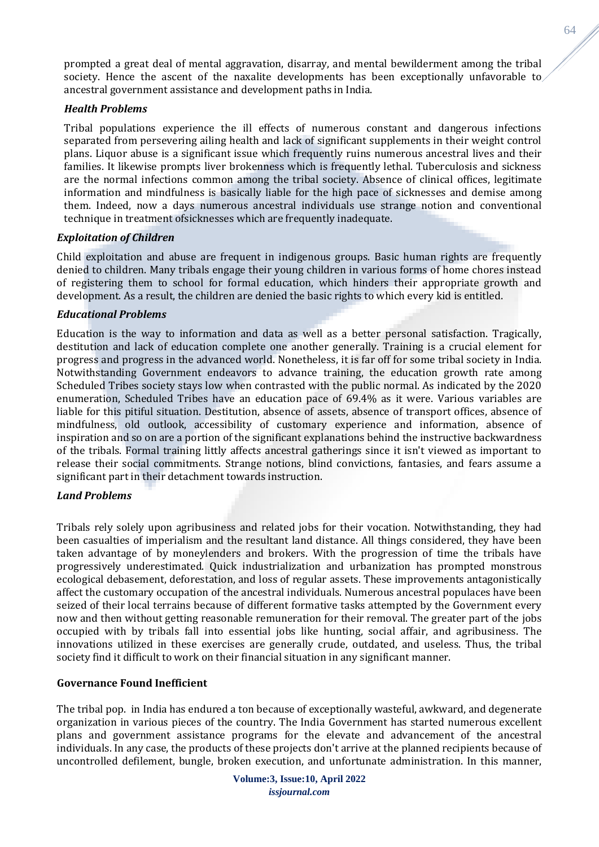prompted a great deal of mental aggravation, disarray, and mental bewilderment among the tribal society. Hence the ascent of the naxalite developments has been exceptionally unfavorable to ancestral government assistance and development paths in India.

# *Health Problems*

Tribal populations experience the ill effects of numerous constant and dangerous infections separated from persevering ailing health and lack of significant supplements in their weight control plans. Liquor abuse is a significant issue which frequently ruins numerous ancestral lives and their families. It likewise prompts liver brokenness which is frequently lethal. Tuberculosis and sickness are the normal infections common among the tribal society. Absence of clinical offices, legitimate information and mindfulness is basically liable for the high pace of sicknesses and demise among them. Indeed, now a days numerous ancestral individuals use strange notion and conventional technique in treatment ofsicknesses which are frequently inadequate.

# *Exploitation of Children*

Child exploitation and abuse are frequent in indigenous groups. Basic human rights are frequently denied to children. Many tribals engage their young children in various forms of home chores instead of registering them to school for formal education, which hinders their appropriate growth and development. As a result, the children are denied the basic rights to which every kid is entitled.

# *Educational Problems*

Education is the way to information and data as well as a better personal satisfaction. Tragically, destitution and lack of education complete one another generally. Training is a crucial element for progress and progress in the advanced world. Nonetheless, it is far off for some tribal society in India. Notwithstanding Government endeavors to advance training, the education growth rate among Scheduled Tribes society stays low when contrasted with the public normal. As indicated by the 2020 enumeration, Scheduled Tribes have an education pace of 69.4% as it were. Various variables are liable for this pitiful situation. Destitution, absence of assets, absence of transport offices, absence of mindfulness, old outlook, accessibility of customary experience and information, absence of inspiration and so on are a portion of the significant explanations behind the instructive backwardness of the tribals. Formal training littly affects ancestral gatherings since it isn't viewed as important to release their social commitments. Strange notions, blind convictions, fantasies, and fears assume a significant part in their detachment towards instruction.

### *Land Problems*

Tribals rely solely upon agribusiness and related jobs for their vocation. Notwithstanding, they had been casualties of imperialism and the resultant land distance. All things considered, they have been taken advantage of by moneylenders and brokers. With the progression of time the tribals have progressively underestimated. Quick industrialization and urbanization has prompted monstrous ecological debasement, deforestation, and loss of regular assets. These improvements antagonistically affect the customary occupation of the ancestral individuals. Numerous ancestral populaces have been seized of their local terrains because of different formative tasks attempted by the Government every now and then without getting reasonable remuneration for their removal. The greater part of the jobs occupied with by tribals fall into essential jobs like hunting, social affair, and agribusiness. The innovations utilized in these exercises are generally crude, outdated, and useless. Thus, the tribal society find it difficult to work on their financial situation in any significant manner.

### **Governance Found Inefficient**

The tribal pop. in India has endured a ton because of exceptionally wasteful, awkward, and degenerate organization in various pieces of the country. The India Government has started numerous excellent plans and government assistance programs for the elevate and advancement of the ancestral individuals. In any case, the products of these projects don't arrive at the planned recipients because of uncontrolled defilement, bungle, broken execution, and unfortunate administration. In this manner, 64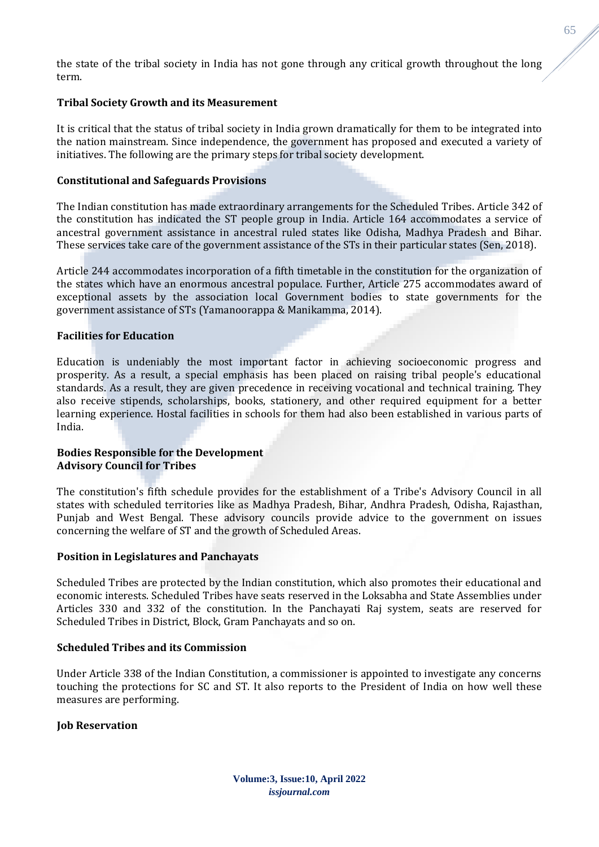the state of the tribal society in India has not gone through any critical growth throughout the long term.

# **Tribal Society Growth and its Measurement**

It is critical that the status of tribal society in India grown dramatically for them to be integrated into the nation mainstream. Since independence, the government has proposed and executed a variety of initiatives. The following are the primary steps for tribal society development.

## **Constitutional and Safeguards Provisions**

The Indian constitution has made extraordinary arrangements for the Scheduled Tribes. Article 342 of the constitution has indicated the ST people group in India. Article 164 accommodates a service of ancestral government assistance in ancestral ruled states like Odisha, Madhya Pradesh and Bihar. These services take care of the government assistance of the STs in their particular states (Sen, 2018).

Article 244 accommodates incorporation of a fifth timetable in the constitution for the organization of the states which have an enormous ancestral populace. Further, Article 275 accommodates award of exceptional assets by the association local Government bodies to state governments for the government assistance of STs (Yamanoorappa & Manikamma, 2014).

# **Facilities for Education**

Education is undeniably the most important factor in achieving socioeconomic progress and prosperity. As a result, a special emphasis has been placed on raising tribal people's educational standards. As a result, they are given precedence in receiving vocational and technical training. They also receive stipends, scholarships, books, stationery, and other required equipment for a better learning experience. Hostal facilities in schools for them had also been established in various parts of India.

# **Bodies Responsible for the Development Advisory Council for Tribes**

The constitution's fifth schedule provides for the establishment of a Tribe's Advisory Council in all states with scheduled territories like as Madhya Pradesh, Bihar, Andhra Pradesh, Odisha, Rajasthan, Punjab and West Bengal. These advisory councils provide advice to the government on issues concerning the welfare of ST and the growth of Scheduled Areas.

### **Position in Legislatures and Panchayats**

Scheduled Tribes are protected by the Indian constitution, which also promotes their educational and economic interests. Scheduled Tribes have seats reserved in the Loksabha and State Assemblies under Articles 330 and 332 of the constitution. In the Panchayati Raj system, seats are reserved for Scheduled Tribes in District, Block, Gram Panchayats and so on.

### **Scheduled Tribes and its Commission**

Under Article 338 of the Indian Constitution, a commissioner is appointed to investigate any concerns touching the protections for SC and ST. It also reports to the President of India on how well these measures are performing.

### **Job Reservation**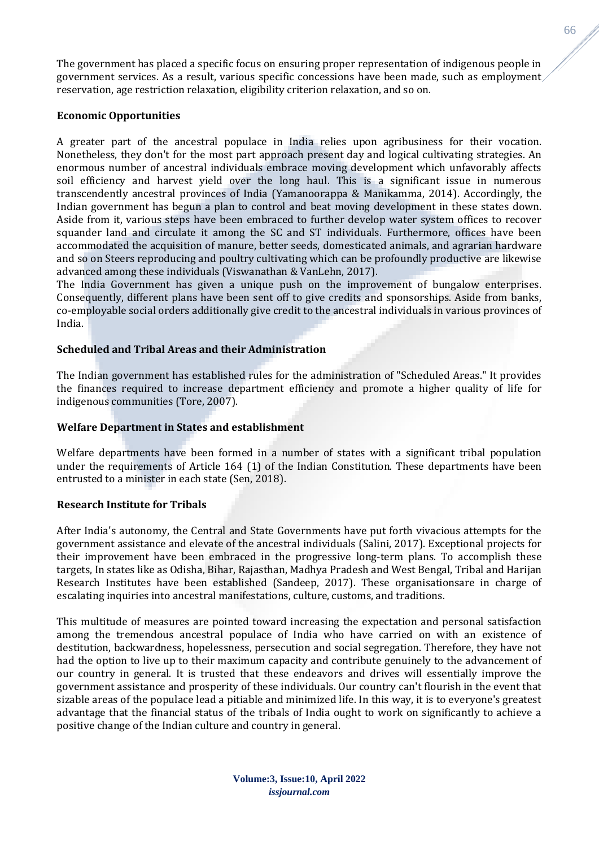The government has placed a specific focus on ensuring proper representation of indigenous people in government services. As a result, various specific concessions have been made, such as employment reservation, age restriction relaxation, eligibility criterion relaxation, and so on.

## **Economic Opportunities**

A greater part of the ancestral populace in India relies upon agribusiness for their vocation. Nonetheless, they don't for the most part approach present day and logical cultivating strategies. An enormous number of ancestral individuals embrace moving development which unfavorably affects soil efficiency and harvest yield over the long haul. This is a significant issue in numerous transcendently ancestral provinces of India (Yamanoorappa & Manikamma, 2014). Accordingly, the Indian government has begun a plan to control and beat moving development in these states down. Aside from it, various steps have been embraced to further develop water system offices to recover squander land and circulate it among the SC and ST individuals. Furthermore, offices have been accommodated the acquisition of manure, better seeds, domesticated animals, and agrarian hardware and so on Steers reproducing and poultry cultivating which can be profoundly productive are likewise advanced among these individuals (Viswanathan & VanLehn, 2017).

The India Government has given a unique push on the improvement of bungalow enterprises. Consequently, different plans have been sent off to give credits and sponsorships. Aside from banks, co-employable social orders additionally give credit to the ancestral individuals in various provinces of India.

# **Scheduled and Tribal Areas and their Administration**

The Indian government has established rules for the administration of "Scheduled Areas." It provides the finances required to increase department efficiency and promote a higher quality of life for indigenous communities (Tore, 2007).

## **Welfare Department in States and establishment**

Welfare departments have been formed in a number of states with a significant tribal population under the requirements of Article 164 (1) of the Indian Constitution. These departments have been entrusted to a minister in each state (Sen, 2018).

### **Research Institute for Tribals**

After India's autonomy, the Central and State Governments have put forth vivacious attempts for the government assistance and elevate of the ancestral individuals (Salini, 2017). Exceptional projects for their improvement have been embraced in the progressive long-term plans. To accomplish these targets, In states like as Odisha, Bihar, Rajasthan, Madhya Pradesh and West Bengal, Tribal and Harijan Research Institutes have been established (Sandeep, 2017). These organisationsare in charge of escalating inquiries into ancestral manifestations, culture, customs, and traditions.

This multitude of measures are pointed toward increasing the expectation and personal satisfaction among the tremendous ancestral populace of India who have carried on with an existence of destitution, backwardness, hopelessness, persecution and social segregation. Therefore, they have not had the option to live up to their maximum capacity and contribute genuinely to the advancement of our country in general. It is trusted that these endeavors and drives will essentially improve the government assistance and prosperity of these individuals. Our country can't flourish in the event that sizable areas of the populace lead a pitiable and minimized life. In this way, it is to everyone's greatest advantage that the financial status of the tribals of India ought to work on significantly to achieve a positive change of the Indian culture and country in general.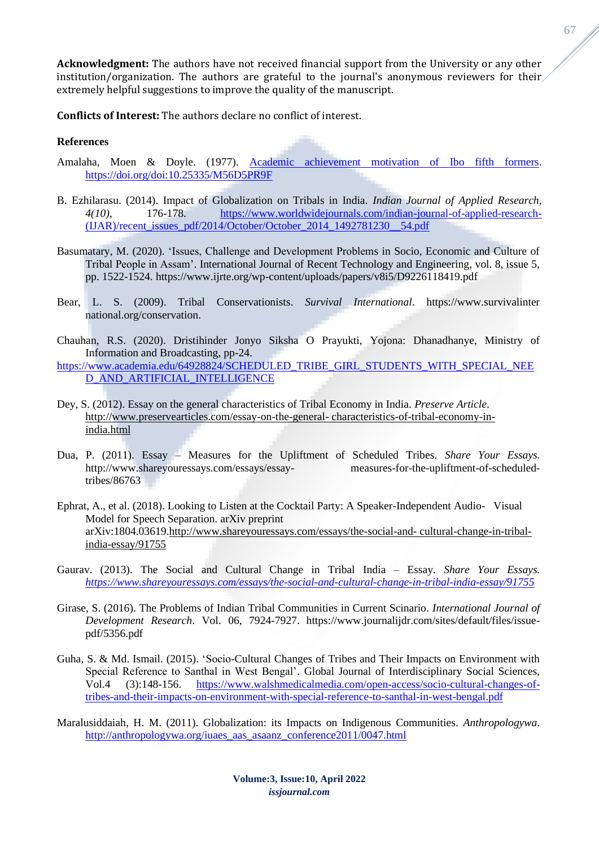**Acknowledgment:** The authors have not received financial support from the University or any other institution/organization. The authors are grateful to the journal's anonymous reviewers for their extremely helpful suggestions to improve the quality of the manuscript.

**Conflicts of Interest:** The authors declare no conflict of interest.

### **References**

- Amalaha, Moen & Doyle. (1977). [Academic achievement motivation of Ibo fifth formers.](https://d.lib.msu.edu/etd/42908) <https://doi.org/doi:10.25335/M56D5PR9F>
- B. Ezhilarasu. (2014). Impact of Globalization on Tribals in India. *Indian Journal of Applied Research*, *4(10)*, 176-178. [https://www.worldwidejournals.com/indian-journal-of-applied-research-](https://www.worldwidejournals.com/indian-journal-of-applied-research-(IJAR)/recent_issues_pdf/2014/October/October_2014_1492781230__54.pdf)  $(IIAR)/$ recent issues pdf/2014/October/October 2014 1492781230 54.pdf
- Basumatary, M. (2020). 'Issues, Challenge and Development Problems in Socio, Economic and Culture of Tribal People in Assam'. International Journal of Recent Technology and Engineering, vol. 8, issue 5, pp. 1522-1524. https://www.ijrte.org/wp-content/uploads/papers/v8i5/D9226118419.pdf
- Bear, L. S. (2009). Tribal Conservationists. *Survival International*. https://www.survivalinter national.org/conservation.
- Chauhan, R.S. (2020). Dristihinder Jonyo Siksha O Prayukti, Yojona: Dhanadhanye, Ministry of Information and Broadcasting, pp-24.
- [https://www.academia.edu/64928824/SCHEDULED\\_TRIBE\\_GIRL\\_STUDENTS\\_WITH\\_SPECIAL\\_NEE](https://www.academia.edu/64928824/SCHEDULED_TRIBE_GIRL_STUDENTS_WITH_SPECIAL_NEED_AND_ARTIFICIAL_INTELLIGENCE) [D\\_AND\\_ARTIFICIAL\\_INTELLIGENCE](https://www.academia.edu/64928824/SCHEDULED_TRIBE_GIRL_STUDENTS_WITH_SPECIAL_NEED_AND_ARTIFICIAL_INTELLIGENCE)
- Dey, S. (2012). Essay on the general characteristics of Tribal Economy in India. *Preserve Article*. [http://www.preservearticles.com/essay-on-the-general-](http://www.preservearticles.com/essay-on-the-general-%20characteristics-of-tribal-economy-in-india.html) characteristics-of-tribal-economy-in[india.html](http://www.preservearticles.com/essay-on-the-general-%20characteristics-of-tribal-economy-in-india.html)
- Dua, P. (2011). Essay Measures for the Upliftment of Scheduled Tribes. *Share Your Essays.*  <http://www.shareyouressays.com/essays/essay-> measures-for-the-upliftment-of-scheduledtribes/86763
- Ephrat, A., et al. (2018). Looking to Listen at the Cocktail Party: A Speaker-Independent Audio- Visual Model for Speech Separation. arXiv preprint arXiv:1804.03619[.http://www.shareyouressays.com/essays/the-social-and-](http://www.shareyouressays.com/essays/the-social-and-%20cultural-change-in-tribal-india-essay/91755) cultural-change-in-tribal[india-essay/91755](http://www.shareyouressays.com/essays/the-social-and-%20cultural-change-in-tribal-india-essay/91755)
- Gaurav. (2013). The Social and Cultural Change in Tribal India Essay. *Share Your Essays. <https://www.shareyouressays.com/essays/the-social-and-cultural-change-in-tribal-india-essay/91755>*
- Girase, S. (2016). The Problems of Indian Tribal Communities in Current Scinario. *International Journal of Development Research*. Vol. 06, 7924-7927. https://www.journalijdr.com/sites/default/files/issuepdf/5356.pdf
- Guha, S. & Md. Ismail. (2015). 'Socio-Cultural Changes of Tribes and Their Impacts on Environment with Special Reference to Santhal in West Bengal'. Global Journal of Interdisciplinary Social Sciences, Vol.4 (3):148-156. [https://www.walshmedicalmedia.com/open-access/socio-cultural-changes-of](https://www.walshmedicalmedia.com/open-access/socio-cultural-changes-of-tribes-and-their-impacts-on-environment-with-special-reference-to-santhal-in-west-bengal.pdf)[tribes-and-their-impacts-on-environment-with-special-reference-to-santhal-in-west-bengal.pdf](https://www.walshmedicalmedia.com/open-access/socio-cultural-changes-of-tribes-and-their-impacts-on-environment-with-special-reference-to-santhal-in-west-bengal.pdf)
- Maralusiddaiah, H. M. (2011). Globalization: its Impacts on Indigenous Communities. *Anthropologywa*. [http://anthropologywa.org/iuaes\\_aas\\_asaanz\\_conference2011/0047.html](http://anthropologywa.org/iuaes_aas_asaanz_conference2011/0047.html)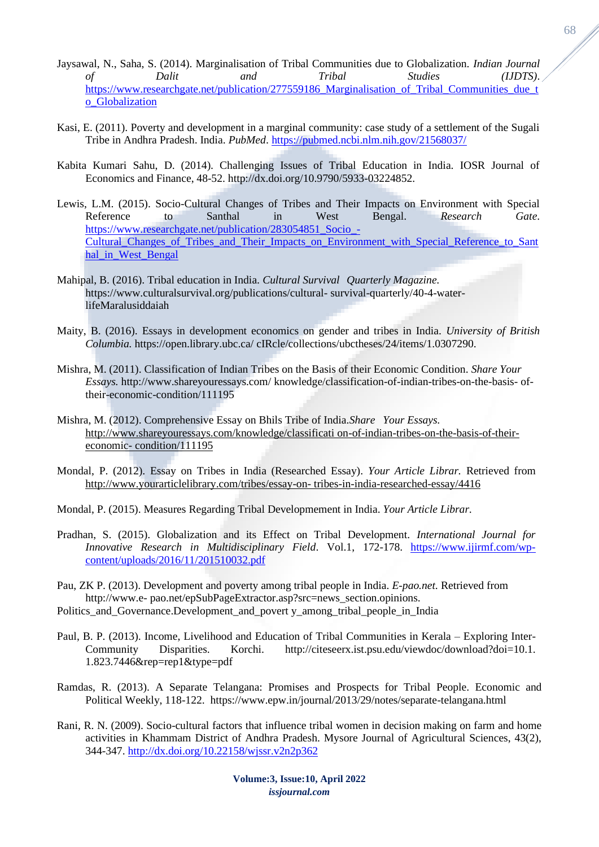- Jaysawal, N., Saha, S. (2014). Marginalisation of Tribal Communities due to Globalization. *Indian Journal of Dalit and Tribal Studies (IJDTS)*. https://www.researchgate.net/publication/277559186 Marginalisation of Tribal Communities due t [o\\_Globalization](https://www.researchgate.net/publication/277559186_Marginalisation_of_Tribal_Communities_due_to_Globalization)
- Kasi, E. (2011). Poverty and development in a marginal community: case study of a settlement of the Sugali Tribe in Andhra Pradesh. India. *PubMed*. <https://pubmed.ncbi.nlm.nih.gov/21568037/>
- Kabita Kumari Sahu, D. (2014). Challenging Issues of Tribal Education in India. IOSR Journal of Economics and Finance, 48-52. http://dx.doi.org/10.9790/5933-03224852.
- Lewis, L.M. (2015). Socio-Cultural Changes of Tribes and Their Impacts on Environment with Special Reference to Santhal in West Bengal. *Research Gate*. [https://www.researchgate.net/publication/283054851\\_Socio\\_-](https://www.researchgate.net/publication/283054851_Socio_-Cultural_Changes_of_Tribes_and_Their_Impacts_on_Environment_with_Special_Reference_to_Santhal_in_West_Bengal) Cultural Changes of Tribes and Their Impacts on Environment with Special Reference to Sant [hal\\_in\\_West\\_Bengal](https://www.researchgate.net/publication/283054851_Socio_-Cultural_Changes_of_Tribes_and_Their_Impacts_on_Environment_with_Special_Reference_to_Santhal_in_West_Bengal)
- Mahipal, B. (2016). Tribal education in India. *Cultural Survival Quarterly Magazine.* https:/[/www.culturalsurvival.org/publications/cultural-](http://www.culturalsurvival.org/publications/cultural-) survival-quarterly/40-4-waterlifeMaralusiddaiah
- Maity, B. (2016). Essays in development economics on gender and tribes in India. *University of British Columbia.* https://open.library.ubc.ca/ cIRcle/collections/ubctheses/24/items/1.0307290.
- Mishra, M. (2011). Classification of Indian Tribes on the Basis of their Economic Condition. *Share Your Essays.* <http://www.shareyouressays.com/> knowledge/classification-of-indian-tribes-on-the-basis- oftheir-economic-condition/111195
- Mishra, M. (2012). Comprehensive Essay on Bhils Tribe of India.*Share Your Essays.* [http://www.shareyouressays.com/knowledge/classificati on-of-indian-tribes-on-the-basis-of-their](http://www.shareyouressays.com/knowledge/classificati%20on-of-indian-tribes-on-the-basis-of-their-economic-%20condition/111195)economic- [condition/111195](http://www.shareyouressays.com/knowledge/classificati%20on-of-indian-tribes-on-the-basis-of-their-economic-%20condition/111195)
- Mondal, P. (2012). Essay on Tribes in India (Researched Essay). *Your Article Librar.* Retrieved from [http://www.yourarticlelibrary.com/tribes/essay-on-](http://www.yourarticlelibrary.com/tribes/essay-on-%20tribes-in-india-researched-essay/4416) tribes-in-india-researched-essay/4416
- Mondal, P. (2015). Measures Regarding Tribal Developmement in India. *Your Article Librar.*
- Pradhan, S. (2015). Globalization and its Effect on Tribal Development. *International Journal for Innovative Research in Multidisciplinary Field*. Vol.1, 172-178. [https://www.ijirmf.com/wp](https://www.ijirmf.com/wp-content/uploads/2016/11/201510032.pdf)[content/uploads/2016/11/201510032.pdf](https://www.ijirmf.com/wp-content/uploads/2016/11/201510032.pdf)
- Pau, ZK P. (2013). Development and poverty among tribal people in India. *E-pao.net.* Retrieved from http://www.e- pao.net/epSubPageExtractor.asp?src=news\_section.opinions.
- Politics and Governance.Development and povert y among tribal people in India
- Paul, B. P. (2013). Income, Livelihood and Education of Tribal Communities in Kerala Exploring Inter-Community Disparities. Korchi. [http://citeseerx.ist.psu.edu/viewdoc/download?doi=10.1.](http://citeseerx.ist.psu.edu/viewdoc/download?doi=10.1) 1.823.7446&rep=rep1&type=pdf
- Ramdas, R. (2013). A Separate Telangana: Promises and Prospects for Tribal People. Economic and Political Weekly, 118-122. https://www.epw.in/journal/2013/29/notes/separate-telangana.html
- Rani, R. N. (2009). Socio-cultural factors that influence tribal women in decision making on farm and home activities in Khammam District of Andhra Pradesh. Mysore Journal of Agricultural Sciences, 43(2), 344-347.<http://dx.doi.org/10.22158/wjssr.v2n2p362>